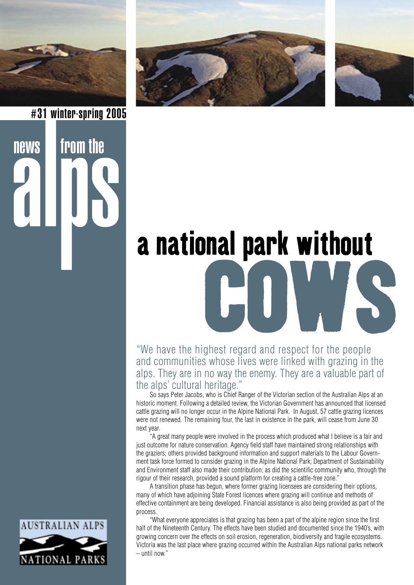



# **a national park without<br>
COUVIS<br>
Converted to the people<br>
Converted in the people**

"We have the highest regard and respect for the people and communities whose lives were linked with grazing in the alps. They are in no way the enemy. They are a valuable part of the alps' cultural heritage."

So says Peter Jacobs, who is Chief Ranger of the Victorian section of the Australian Alps at an historic moment. Following a detailed review, the Victorian Government has announced that licensed cattle grazing will no longer occur in the Alpine National Park. In August, 57 cattle grazing licences were not renewed. The remaining four, the last in existence in the park, will cease from June 30 next year.

 "A great many people were involved in the process which produced what I believe is a fair and just outcome for nature conservation. Agency field staff have maintained strong relationships with the graziers; others provided background information and support materials to the Labour Government task force formed to consider grazing in the Alpine National Park; Department of Sustainability and Environment staff also made their contribution; as did the scientific community who, through the rigour of their research, provided a sound platform for creating a cattle-free zone."

 A transition phase has begun, where former grazing licensees are considering their options, many of which have adjoining State Forest licences where grazing will continue and methods of effective containment are being developed. Financial assistance is also being provided as part of the process.

 "What everyone appreciates is that grazing has been a part of the alpine region since the first half of the Nineteenth Century. The effects have been studied and documented since the 1940's, with growing concern over the effects on soil erosion, regeneration, biodiversity and fragile ecosystems. Victoria was the last place where grazing occurred within the Australian Alps national parks network – until now."



news from the

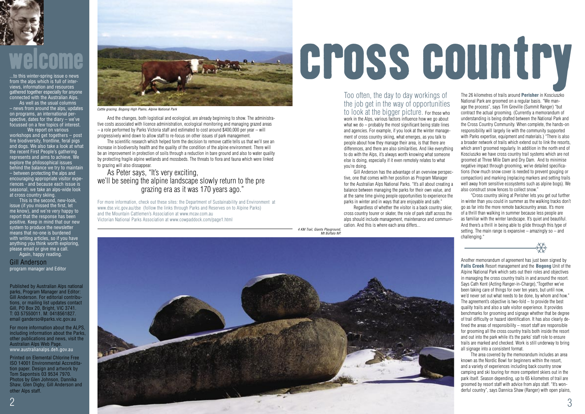The 26 kilometres of trails around **Perisher** in Kosciuszko National Park are groomed on a regular basis. "We manage the process", says Tim Greville (Summit Ranger) "but contract the actual grooming. (Currently a memorandum of understanding is being drafted between the National Park and the Cross Country Community. When complete, the hands-on responsibility will largely lie with the community supported with Parks expertise, equipment and materials.) "There is also a broader network of trails which extend out to link the resorts, which aren't groomed regularly. In addition in the north end of Kosciuszko we have cross country trail systems which are not groomed at Three Mile Dam and Dry Dam. And to minimise negative impact through grooming, we've detailed specifications (how much snow cover is needed to prevent gouging or compaction) and marking (replacing markers and setting trails well away from sensitive ecosystems such as alpine bogs). We also construct snow fences to collect snow."

 "Cross country skiing at Perisher lets you get out further in winter than you could in summer as the walking tracks don't go as far into the more remote backcountry areas. It's more of a thrill than walking in summer because less people are as familiar with the winter landscape. It's quiet and beautiful. And there's a thrill in being able to glide through this type of setting. The main range is expansive – amazingly so – and challenging."

Another memorandum of agreement has just been signed by Falls Creek Resort management and the Bogong Unit of the Alpine National Park which sets out their roles and objectives in managing the cross country trails in and around the resort. Says Cath Kent (Acting Ranger-in-Charge),"Together we've been taking care of things for over ten years, but until now, we'd never set out what needs to be done, by whom and how." The agreement's objective is two-fold – to provide the best quality trails and also a safe visitor experience. It provides benchmarks for grooming and signage whether that be degree of trail difficulty or hazard identification. It has also clearly defined the areas of responsibility – resort staff are responsible for grooming all the cross country trails both inside the resort and out into the park while it's the parks' staff role to ensure trails are marked and checked. Work is still underway to bring all signage into a consistent format.

 The area covered by the memorandum includes an area known as the Nordic Bowl for beginners within the resort, and a variety of experiences including back country snow camping and ski touring for more competent skiers out in the park itself. Season depending, up to 65 kilometres of trail are groomed by resort staff with advice from alps staff. "It's wonderful country", says Dannica Shaw (Ranger) with open plains,



## welcome

Published by Australian Alps national parks, Program Manager and Editor: Gill Anderson. For editorial contributions, or mailing list updates contact Gill, PO Box 20, Bright, VIC 3741. T: 03 57550011. M: 0418561827. email ganderso@parks.vic.gov.au

For more information about the ALPS, including information about the Parks, other publications and news, visit the Australian Alps Web Page. www.australianalps.deh.gov.au

Printed on Elemental Chlorine Free ISO 14001 Environmental Accreditation paper. Design and artwork by Tom Sapontsis 03 9534 7970. Photos by Glen Johnson, Dannika Shaw, Glen Digby, Gill Anderson and other Alps staff.



 And the changes, both logistical and ecological, are already beginning to show. The administrative costs associated with licence administration, ecological monitoring and managing grazed areas – a role performed by Parks Victoria staff and estimated to cost around \$400,000 per year – will progressively wind down to allow staff to re-focus on other issues of park management.

 The scientific research which helped form the decision to remove cattle tells us that we'll see an increase in biodiversity health and the quality of the condition of the alpine environment. There will be an improvement in protection of soils through a reduction in bare ground and also to water quality by protecting fragile alpine wetlands and mossbeds. The threats to flora and fauna which were linked to grazing will also dissappear.

### As Peter says, "It's very exciting, we'll be seeing the alpine landscape slowly return to the pre grazing era as it was 170 years ago."

For more information, check out these sites: the Department of Sustainability and Environment at www.dse.vic.gov.au/dse (follow the links through Parks and Reserves on to Alpine Parks) and the Mountain Cattlemen's Association at www.mcav.com.au Victorian National Parks Association at www.cowpaddock.com/page1.html

Too often, the day to day workings of the job get in the way of opportunities to look at the bigger picture. For those who

work in the Alps, various factors influence how we go about what we do – probably the most significant being state lines and agencies. For example, if you look at the winter management of cross country skiing, what emerges, as you talk to people about how they manage their area, is that there are differences, and there are also similarities. And like everything to do with the Alps, it's always worth knowing what someone else is doing, especially if it even remotely relates to what you're doing.

 Gill Anderson has the advantage of an overview perspective, one that comes with her position as Program Manager for the Australian Alps National Parks. "It's all about creating a balance between managing the parks for their own value, and at the same time giving people opportunities to experience the parks in winter and in ways that are enjoyable and safe."

 Regardless of whether the visitor is a back country skier, cross country tourer or skater, the role of park staff across the alps should include management, maintenance and communication. And this is where each area differs...

cross country

❄

...to this winter-spring issue o news from the alps which is full of interviews, information and resources gathered together especially for anyone connected with the Australian Alps.

 As well as the usual columns – news from around the alps, updates on programs, an international perspective, dates for the diary – we've focussed on a few topics of interest.

 We report on various workshops and get togethers – post fire biodiversity, frontline, feral pigs and dogs. We also take a look at what the recent First People's gathering represents and aims to achieve. We explore the philosophical issues behind the balance we try to maintain – between protecting the alps and encouraging appropriate visitor experiences - and because each issue is seasonal, we take an alps-wide look at cross country skiing.

 This is the second, new-look, issue (if you missed the first, let me know), and we're very happy to report that the response has been positive. Keep in mind that our new system to produce the newsletter means that no-one is burdened with writing articles, so if you have anything you think worth exploring, please email or give me a call.

Again, happy reading.

Gill Anderson program manager and Editor Cattle grazing, Bogong High Plains, Alpine National Park

4 KM Trail, Giants Playground,

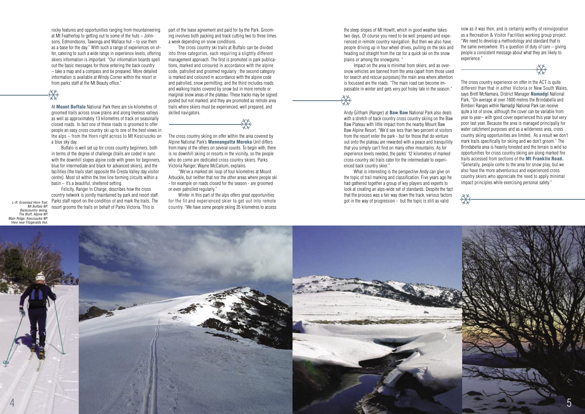rocky features and opportunities ranging from mountaineering at Mt Feathertop to getting out to some of the huts – Johnsons, Edmondsons, Tawonga and Wallace hut – to use them as a base for the day." With such a range of experiences on offer, catering to such a wide range in experience levels, offering skiers information is important. "Our information boards spell out the basic messages for those entering the back country – take a map and a compass and be prepared. More detailed information is available at Windy Corner within the resort or from parks staff at the Mt Beauty office."

At **Mount Buffalo** National Park there are six kilometres of groomed trails across snow plains and along treeless valleys as well as approximately 13 kilometres of track on seasonally closed roads. In fact one of these roads is groomed to offer people an easy cross country ski up to one of the best views in the alps – from the Horn right across to Mt Kosciuszko on a blue sky day.

 Felicity, Ranger In Charge, describes how the cross country network is jointly maintained by park and resort staff. Parks staff report on the condition of and mark the trails. The resort grooms the trails on behalf of Parks Victoria. This is

 Buffalo is well set up for cross country beginners, both in terms of the degree of challenge (trails are coded in sync with the downhill slopes alpine code with green for beginners. blue for intermediate and black for advanced skiers), and the facilities (the trails start opposite the Cresta Valley day visitor centre). Most sit within the tree line forming circuits within a basin – it's a beautiful, sheltered setting.

part of the lease agreement and paid for by the Park. Grooming involves both packing and track cutting two to three times a week depending on snow conditions.

 The cross country ski trails at Buffalo can be divided into three categories, each requiring a slightly different management approach. The first is promoted in park publications, marked and coloured in accordance with the alpine code, patrolled and groomed regularly ; the second category is marked and coloured in accordance with the alpine code and patrolled, snow permitting; and the third includes roads and walking tracks covered by snow but in more remote or marginal snow areas of the plateau. These tracks may be signed posted but not marked, and they are promoted as remote area trails where skiers must be experienced, well prepared, and skilled navigators.

Andy Gillham (Ranger) at **Baw Baw** National Park also deals with a stretch of back country cross country skiing on the Baw Baw Plateau with little impact from the nearby Mount Baw Baw Alpine Resort. "We'd see less than two percent of visitors from the resort enter the park - but for those that do venture out onto the plateau are rewarded with a peace and tranquillity that you simply can't find on many other mountains. As for experience levels needed, the parks' 12 kilometres of marked cross-country ski trails cater for the intermediate to experienced back country skier."

What is interesting is the perspective Andy can give on the topic of trail marking and classification. Five years ago he had gathered together a group of key players and experts to look at creating an alps-wide set of standards. Despite the fact that the process was a fair way down the track, various factors got in the way of progression - but the topic is still as valid

The cross country skiing on offer within the area covered by Alpine National Park's Wonnangatta Moroka Unit differs from many of the others on several counts. To begin with, there is no downhill skiing or resorts in the vicinity, so the people who do come are dedicated cross country skiers. Parks Victoria Ranger, Wayne McCallum, explains.

 "We've a marked ski loop of four kilometres at Mount Arbuckle, but neither that nor the other areas where people ski - for example on roads closed for the season - are groomed or even patrolled regularly."

 Winter in this part of the alps offers great opportunities for the fit and experienced skier to get out into remote country. "We have some people skiing 35 kilometres to access the steep slopes of Mt Howitt, which in good weather takes two days. Of course you need to be well prepared and experienced in remote country navigation. But then we also have people driving up in four wheel drives, pulling on the skis and heading out straight from the car for a quick ski on the snow plains or among the snowgums. "

 Impact on the area is minimal from skiers, and as oversnow vehicles are banned from the area (apart from those used for search and rescue purposes) the main area where attention is focussed are the roads. "The main road can become impassable in winter and gets very pot holey late in the season."

now as it was then, and is certainly worthy of reinvigoration as a Recreation & Visitor Facilities working group project. "We need to develop a methodology and standard that is the same everywhere. It's a question of duty of care – giving people a consistent message about what they are likely to experience."

The cross country experience on offer in the ACT is quite different than that in either Victoria or New South Wales, says Brett McNamara, District Manager Namadgi National Park, "On average at over 1600 metres the Brindabella and Bimberi Ranges within Namadgi National Park can receive quite a lot of snow, although the cover can be variable from year to year– with good cover experienced this year but very poor last year. Because the area is managed principally for water catchment purposes and as a wilderness area, cross country skiing opportunities are limited. As a result we don't mark trails specifically for skiing and we don't groom." The Brindabella area is heavily forested and the terrain is wild so opportunities for cross country skiing are along marked fire trails accessed from sections of the Mt Franklin Road. "Generally, people come to the area for snow play, but we also have the more adventurous and experienced cross country skiers who appreciate the need to apply minimal impact principles while exercising personal safety."





### ❄

### ❄

❄

L-R: Groomed Horn Trail, Mt Buffalo NP. Backcountry skiing,

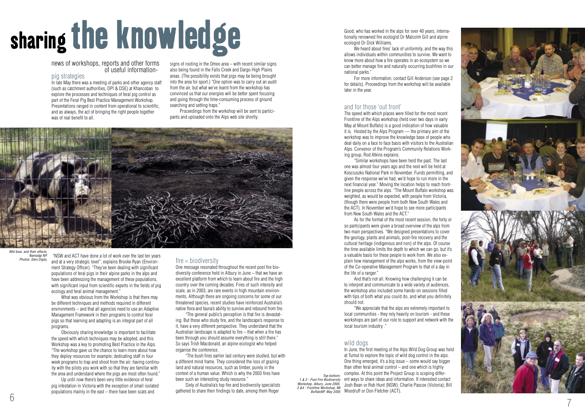

# sharing the knowledge

### news of workshops, reports and other forms of useful information - pig strategies

In late May there was a meeting of parks and other agency staff (such as catchment authorities, DPI & DSE) at Khancoban to explore the processes and techniques of feral pig control as part of the Feral Pig Best Practice Management Workshop. Presentations ranged in content from operational to scientific, and as always, the act of bringing the right people together was of real benefit to all.

 "NSW and ACT have done a lot of work over the last ten years and at a very strategic level", explains Brooke Ryan (Environ ment Strategy Officer). "They've been dealing with significant populations of feral pigs in their alpine parks in the alps and have been addressing the management of these populations, with significant input from scientific experts in the fields of pig ecology and feral animal management."

 What was obvious from the Workshop is that there may be different techniques and methods required in different environments – and that all agencies need to use an Adaptive Management Framework in their programs to control feral pigs so that learning and adapting is an integral part of all programs.

 Obviously sharing knowledge is important to facilitate the speed with which techniques may be adopted, and this Workshop was a key to promoting Best Practice in the Alps. "The workshop gave us the chance to learn more about how they deploy resources for example; dedicating staff in four week programs to trap and shoot from the air; having continu ity with the pilots you work with so that they are familiar with the area and understand where the pigs are most often found."

 Up until now there's been very little evidence of feral pig infestation in Victoria with the exception of small isolated populations mainly in the east – there have been scats and

signs of rooting in the Omeo area – with recent similar signs also being found in the Falls Creek and Dargo High Plains areas. (The possibility exists that pigs may be being brought into the area for sport.) "One option was to carry out an audit from the air, but what we've learnt from the workshop has convinced us that our energies will be better spent focusing and going through the time-consuming process of ground searching and setting traps."

 Proceedings from the workshop will be sent to partici pants and uploaded onto the Alps web site shortly.



#### Wid boar, and their affects Namadgi NP. Photos: Glen Digby.

#### fire = biodiversity

One message resonated throughout the recent post fire bio diversity conference held in Albury in June – that we have an excellent platform from which to learn about fire and the high country over the coming decades. Fires of such intensity and scale, as in 2003, are rare events in high mountain environ ments. Although there are ongoing concerns for some of our threatened species, recent studies have reinforced Australia's native flora and fauna's ability to survive and rebound from fire.

 "The general public's perception is that fire is devastat ing. But those who study fire, and the landscape's response to it, have a very different perspective. They understand that the Australian landscape is adapted to fire – that when a fire has been through you should assume everything is still there." So says Trish Macdonald, an alpine ecologist who helped organise the conference.

In June, the first meeting of the Alps Wild Dog Group was held at Tumut to explore the topic of wild dog control in the alps. One thing emerged, it's a big issue – some would say bigger than other feral animal control – and one which is highly complex. At this point the Project Group is scoping differ ent ways to share ideas and information. If interested contact Josh Bean or Rob Hunt (NSW); Charlie Pascoe (Victoria); Bill BuffaloNP, May 2005 Woodruff or Don Fletcher (ACT).

1 & 2 - Post Fire Biodiversity Workshop, Albury, June 2005. 3 &4 - Frontline Workshop, Mi

 "The bush fires earlier last century were studied, but with a different mind frame. They considered the loss of grazing land and natural resources, such as timber, purely in the context of a human value. Which is why the 2003 fires have been such an interesting study resource."

 Sixty of Australia's top fire and biodiversity specialists gathered to share their findings to date, among them Roger

Good, who has worked in the alps for over 40 years, interna tionally renowned fire ecologist Dr Malcolm Gill and alpine ecologist Dr Dick Williams.

 We heard about fires' lack of uniformity, and the way this allows individuals within communities to survive. We want to know more about how a fire operates in an ecosystem so we can better manage fire and naturally occurring bushfires in our national parks."

 For more information, contact Gill Anderson (see page 2 for details). Proceedings from the workshop will be available later in the year.

### and for those 'out front'

The speed with which places were filled for the most recent Frontline of the Alps workshop (held over two days in early May at Mount Buffalo) is a good indication of how valuable it is. Hosted by the Alps Program –– the primary aim of the workshop was to improve the knowledge base of people who deal daily on a face to face basis with visitors to the Australian Alps. Convenor of the Program's Community Relations Work ing group, Rod Atkins explains.

 "Similar workshops have been held the past. The last one was almost four years ago and the next will be held at Kosciuszko National Park in November. Funds permitting, and given the response we've had, we'd hope to run more in the next financial year." Moving the location helps to reach front line people across the alps. "The Mount Buffalo workshop was weighted, as would be expected, with people from Victoria, (though there were people from both New South Wales and the ACT). In November we'd hope to see more participants from New South Wales and the ACT."

 As for the format of the most recent session, the forty or so participants were given a broad overview of the alps from two main perspectives. "We designed presentations to cover the geology, plants and animals, post-fire recovery and the cultural heritage (indigenous and non) of the alps. Of course the time available limits the depth to which we can go, but it's a valuable basis for these people to work from. We also ex plain how management of the alps works, from the view-point of the Co-operative Management Program to that of a day in the life of a ranger."

 And that's not all. Knowing how challenging it can be to interpret and communicate to a wide variety of audiences, the workshop also included some hands-on sessions filled with tips of both what you could do, and what you definitely should not.

 "We appreciate that the alps are extremely important to local communities - they rely heavily on tourism - and these workshops are part of our role to support and network with the local tourism industry ."

#### wild dogs

Top-bottom: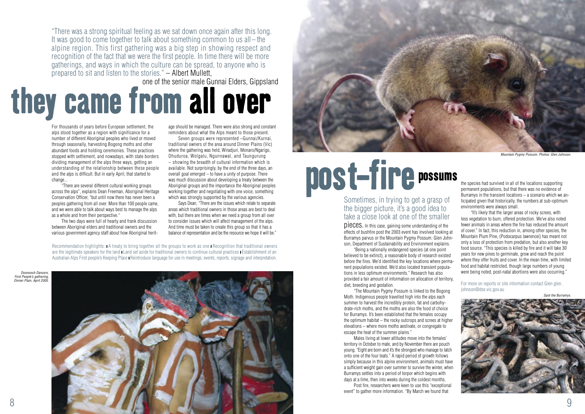

"There was a strong spiritual feeling as we sat down once again after this long. It was good to come together to talk about something common to us all – the alpine region. This first gathering was a big step in showing respect and recognition of the fact that we were the first people. In time there will be more gatherings, and ways in which the culture can be spread, to anyone who is prepared to sit and listen to the stories." – Albert Mullett,<br>one of the senior male Gunnai Elders, Gippsland



one of the senior male Gunnai Elders, Gippsland

# they came from all over

For thousands of years before European settlement, the alps stood together as a region with significance for a number of different Aboriginal peoples who lived or moved through seasonally, harvesting Bogong moths and other abundant foods and holding ceremonies. These practices stopped with settlement, and nowadays, with state borders dividing management of the alps three ways, getting an understanding of the relationship between these people and the alps is difficult. But in early April, that started to change...

 Seven groups were represented –Gunnai/Kurnai, traditional owners of the area around Dinner Plains (Vic) where the gathering was held, Wiradjuri, Monaro/Ngarigo, Dhuduroa, Wolgalu, Ngunnawal, and Taungurung – showing the breadth of cultural information which is available. Not surprisingly, by the end of the three days, an overall goal emerged – to have a unity of purpose. There was much discussion about developing a treaty between the Aboriginal groups and the importance the Aboriginal peoples working together and negotiating with one voice, something which was strongly supported by the various agencies.

 "There are several different cultural working groups across the alps", explains Dean Freeman, Aboriginal Heritage Conservation Officer, "but until now there has never been a peoples gathering from all over. More than 100 people came, and we were able to talk about ways best to manage the alps as a whole and from their perspective."

 The two days were full of hearty and frank discussion between Aboriginal elders and traditional owners and the various government agency staff about how Aboriginal heritage should be managed. There were also strong and constant reminders about what the Alps meant to those present.

 Says Dean, "There are the issues which relate to separate areas which traditional owners in those areas are best to deal with, but there are times when we need a group from all over to consider issues which will affect management of the alps. And time must be taken to create this group so that it has a balance of representation and be the resource we hope it will be."

Recommendation highlights: ∎A treaty to bring together all the groups to work as one ∎ Recognition that traditional owners are the legitimate speakers for the land ∎ Land set aside for traditional owners to continue cultural practices ∎ Establishment of an Australian Alps First people's Keeping Place **Reintroduce language for use in meetings**, events, reports, signage and interpretation.

### possums<br>the species had survived in all of the locations supporting<br>permanent populations, but that there was no evidence of<br>Burramys in the transient locations – a scenario which we possums

### Sometimes, in trying to get a grasp of the bigger picture, it's a good idea to take a close look at one of the smaller

pieces. In this case, gaining some understanding of the effects of bushfire post the 2003 event has involved looking at Burramys parvus or the Mountain Pygmy Possum. Glen Johnson, Department of Sustainability and Environment explains.

 "Being a nationally endangered species (at one point believed to be extinct), a reasonable body of research existed before the fires. We'd identified the key locations where permanent populations existed. We'd also located transient populations in less optimum environments." Research has also provided a fair amount of information on allocation of territory, diet, breeding and gestation.

 "The Mountain Pygmy Possum is linked to the Bogong Moth. Indigenous people travelled high into the alps each summer to harvest the incredibly protein, fat and carbohydrate-rich moths, and the moths are also the food of choice for Burramys. It's been established that the females occupy the optimum habitat – the rocky outcrops and screes at higher elevations – where more moths aestivate, or congregate to escape the heat of the summer plains."

 Males living at lower altitudes move into the females' territory in October to mate, and by November there are pouch young. "Eight are born and it's the strongest who manage to latch onto one of the four teats." A rapid period of growth follows simply because in this alpine environment, animals must have a sufficient weight gain over summer to survive the winter, when Burramys settles into a period of torpor which begins with days at a time, then into weeks during the coldest months. Post fire, researchers were keen to use this "exceptional event" to gather more information. "By March we found that

permanent populations, but that there was no evidence of Burramys in the transient locations – a scenario which we anticipated given that historically, the numbers at sub-optimum environments were always small.

 "It's likely that the larger areas of rocky screes, with less vegetation to burn, offered protection. We've also noted fewer animals in areas where the fire has reduced the amount of cover." In fact, this reduction in, among other species, the Mountain Plum Pine, (Podocarpus lawrencei) has meant not only a loss of protection from predation, but also another key food source. "This species is killed by fire and it will take 30 years for new pines to germinate, grow and reach the point where they offer fruits and cover. In the mean time, with limited food and habitat restricted, though large numbers of young were being noted, post-natal abortions were also occurring."

For more on reports or site information contact Glen glen. johnson@dse.vic.gov.au



Doonooch Dancers, First People's gathering, Dinner Plain, April 2005.

Mountain Pygmy Possum. Photos: Glen Johnson.

Spot the Burramys.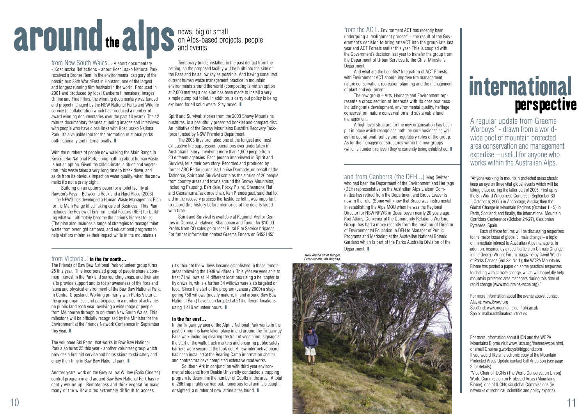

from New South Wales... A short documentary - Kosciuszko Reflections - about Kosciuszko National Park received a Bronze Remi in the environmental category of the prestigious 38th WorldFest in Houston, one of the largest and longest running film festivals in the world. Produced in 2001 and produced by local Canberra filmmakers, Images Online and Fine Films, the winning documentary was funded and project managed by the NSW National Parks and Wildlife service (a collaboration which has produced a number of award winning documentaries over the past 10 years). The 12 minute documentary features stunning images and interviews with people who have close links with Kosciuszko National Park. It's a valuable tool for the promotion of ational parks both nationally and internationally.



### news, big or small on Alps-based projects, people and events and events<br>and events are control and the CT...Environment ACT has recently been<br>the action to bring atsACT into the group lat<br>the Government's decision to bring atsACT into the group lat<br>the Government's decision last yea

 Temporary toilets installed in the past detract from the setting, so the proposed facility will be built into the side of the Pass and be as low key as possible. And having consulted current human waste management practice in mountain environments around the world (composting is not an option at 2,000 metres) a decision has been made to install a very simple pump out toilet. In addition, a carry out policy is being explored for all solid waste. Stay tuned.  $\blacksquare$ 

With the numbers of people now walking the Main Range in Kosciuszko National Park, doing nothing about human waste is not an option. Given the cold climate, altitude and vegetation, this waste takes a very long time to break down, and aside from its obvious impact on water quality, when the snow melts it's not a pretty sight.

 Building on an options paper for a toilet facility at Rawson's Pass – Between a Rock and a Hard Place (2003) - the NPWS has developed a Human Waste Management Plan for the Main Range titled Taking care of Business. This Plan includes the Review of Environmental Factors (REF) for building what will ultimately become the nation's highest toilet. (The plan also includes a range of strategies to manage toilet waste from overnight campers, and educational programs to help visitors minimise their impact while in the mountains.)

The Friends of Baw Baw National Park volunteer group turns 25 this year. This incorporated group of people share a common interest in the Park and surrounding areas, and their aim is to provide support and to foster awareness of the flora and fauna and physical environment of the Baw Baw National Park, in Central Gippsland. Working primarily with Parks Victoria, the group organises and participates in a number of activities on public land each year involving a wide range of people from Melbourne through to southern New South Wales. This milestone will be officially recognised by the Minister for the Environment at the Friends Network Conference in September this year.  $\blacksquare$ 

The volunteer Ski Patrol that works in Baw Baw National Park also turns 25 this year - another volunteer group which provides a first aid service and helps skiers to ski safely and enjoy their time in Baw Baw National park.

(It's thought the willows became established in these remote areas following the 1939 wildfires.) This year we were able to treat 71 willows at 14 different locations using a helicopter to fly crews in, while a further 34 willows were also targeted on foot. Since the start of the program (January 2000) a staggering 758 willows (mostly mature, in and around Baw Baw National Park) have been targeted at 210 different locations using 1,410 volunteer hours. ■

Spirit and Survival: stories from the 2003 Snowy Mountains bushfires, is a beautifully presented booklet and compact disc. An initiative of the Snowy Mountains Bushfire Recovery Taskforce funded by NSW Premier's Department.

 Southern Ark in conjunction with third year environmental students from Deakin University conducted a trapping program to determine the number of Quolls in the area. A total of 286 trap nights carried out, numerous feral animals caught or sighted, a number of new latrine sites found.  $\blacksquare$ 

 The 2003 fires prompted one of the longest and most exhaustive fire suppression operations ever undertaken in Australian history, involving more than 1,600 people from 20 different agencies. Each person interviewed in Spirit and Survival, tells their own story. Recorded and produced by former ABC Radio journalist, Louise Darmody, on behalf of the Taskforce, Spirit and Survival contains the stories of 26 people from country areas and towns around the Snowy Mountains, including Paupong, Berridale, Rocky Plains, Shannons Flat and Cabramurra.Taskforce chair, Ken Prendergast, said that to aid in the recovery process the Taskforce felt it was important to record this history before memories of the details faded with time.

 Spirit and Survival is available at Regional Visitor Centres in Cooma, Jindabyne, Khancoban and Tumut for \$10.00. Profits from CD sales go to local Rural Fire Service brigades. For further information contact Graeme Enders on 64521455

### from Victoria... in the far south...

 A high level structure for the new organisation has been put in place which recognises both the core business as well as the operational, policy and regulatory roles of the group. As for the management structures within the new groups (which sit under this level) they're currently being established.  $\blacksquare$ 

and from Canberra (the DEH...) Meg Switzer, who had been the Department of the Environment and Heritage (DEH) representative on the Australian Alps Liaison Committee has retired from the Department and Bruce Leaver is now in the role. (Some will know that Bruce was instrumental in establishing the Alps MOU when he was the Regional Director for NSW NPWS in Queanbeyan nearly 20 years ago. Rod Atkins, Convenor of the Community Relations Working Group, has had a move recently from the position of Director of Environmental Education in DEH to Manager of Public Programs and Marketing at the Australian National Botanic Gardens which is part of the Parks Australia Division of the Department.  $\blacksquare$ 

Another years' work on the Grey sallow Willow (Salix Cinerea) control program in and around Baw Baw National Park has recently wound up. Remoteness and thick vegetation make many of the willow sites extremely difficult to access.

New Alpine Chief Ranger, Peter Jacobs, Mt Bogoni

#### in the far east...

In the Tingaringy area of the Alpine National Park works in the past six months have taken place in and around the Tingaringy Falls walk including clearing the trail of vegetation, signage at the start of the walk, track markers and ensuring public safety barriers were secure at the look out. A new interpretive board has been installed at the Roaring Camp information shelter, and contractors have completed extensive road works.

undergoing a 'realignment process' – the result of the Government's decision to bring artsACT into the group late last year and ACT Forests earlier this year. This is coupled with the Government's decision last year to transfer the group from the Department of Urban Services to the Chief Minister's Department.

 And what are the benefits? Integration of ACT Forests with Environment ACT should improve fire management, nature conservation, recreation planning and the management of plant and equipment.

 The new group – Arts, Heritage and Environment represents a cross section of interests with its core business including: arts development, environmental quality, heritage conservation, nature conservation and sustainable land management.

A regular update from Graeme Worboys\* - drawn from a worldwide pool of mountain protected area conservation and management expertise – useful for anyone who works within the Australian Alps.

"Anyone working in mountain protected areas should keep an eye on three vital global events which will be taking place during the latter part of 2005. First up is the 8th World Wilderness Congress (September 30 – October 6, 2005) in Anchorage, Alaska; then the Global Change in Mountain Regions (October 1 - 5) in Perth, Scotland; and finally, the International Mountain Corridors Conference (October 24-27), Catalonian Pyrenees, Spain.

 Each of these forums will be discussing responses to the major issue of global climate change – a topic of immediate interest to Australian Alps managers. In addition, inspired by a recent article on Climate Change in the George Wright Forum magazine by David Welch of Parks Canada (Vol 22, No 1); the WCPA Mountains Biome has posted a paper on some practical responses to dealing with climate change, which will hopefully help mountain protected area managers during this time of rapid change (www.mountains-wcpa.org)."

For more information about the events above, contact Alaska: www.8wwc.org Scotland: www.mountains.conf.uhi.ac.uk Spain: mallarach@natura.ictnet.es

For more information about IUCN and the WCPA Mountains Biome visit www.iucn.org/themes/wcpa.html, or email Graeme g.worboys@bigpond.com If you would like an electronic copy of the Mountain Protected Areas Update contact Gill Anderson (see page 2 for details).

\*Vice Chair of IUCN's (The World Conservation Union) World Commission on Protected Areas (Mountains Biome), one of IUCN's six global Commissions (ie networks of technical, scientific and policy experts).

### international perspective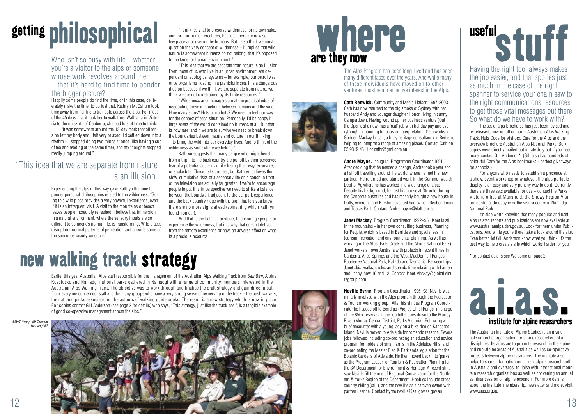The Alps Program has been long-lived and has seen many different faces over the years. And while many of these individuals have moved on to other ventures, most retain an active interest in the Alps..



**Cath Renwick.** Community and Media Liaison 1997-2003. Cath has now returned to the big smoke of Sydney with her husband Andy and younger daughter Honor, living in sunny Camperdown. Having wound up her business venture (Out in the Open), she now has a 'real' job with holiday pay and everything! Continuing to focus on interpretation, Cath works for Godden Mackay Logan, a busy heritage consultancy in Redfern, helping to interpret a range of amazing places. Contact Cath on 02 9319 4811 or cathr@gml.com.au

**Andre Mayne.** Inaugural Programme Coordinator 1991. After deciding that he needed a change, Andre took a year and a half off travelling around the world, where he met his new partner. He returned and started work in the Commonwealth Dept of Ag where he has worked in a wide range of areas. Despite his background, he lost his house at Stromlo during the Canberra bushfires and has recently bought a new house in Duffy, where he and Kerstin have just had twins - Reuben Louis and Tobias Paul. Contact Andre.mayne@daff.gov.au.

**Janet Mackay**. Program Coordinator 1992–95. Janet is still in the mountains - in her own consulting business, Planning for People, which is based in Berridale and specialises in tourism, recreation and environmental planning. As well as working in the Alps (Falls Creek and the Alpine National Park), Janet works all over Australia with projects in recent times in Canberra, Alice Springs and the West MacDonnell Ranges, Booderree National Park, Kakadu and Tasmania. Between trips Janet skis, walks, cycles and spends time relaxing with Lauren and Lachy, now 16 and 12. Contact Janet.Mackay@globalleisu regroup.com

# getting philosophical and for non-human creatures, because there are now so few places not overrun by humans. But I also think we must<br>guestion the very concent of wilderness – it implies that wild

### Who isn't so busy with life – whether you're a visitor to the alps or someone whose work revolves around them – that it's hard to find time to ponder the bigger picture?

**Neville Byrne.** Program Coordinator 1995–98. Neville was initially involved with the Alps program through the Recreation & Tourism working group. After his stint as Program Coordinator he headed off to Bendigo (Vic) as Chief Ranger in charge of the 850+ reserves in the foothill slopes down to the Murray River (Murray Central District, Parks Victoria). Following a brief encounter with a young lady on a bike ride on Kangaroo Island, Neville moved to Adelaide for romantic reasons. Several jobs followed including co-ordinating an education and advice program for holders of small farms in the Adelaide Hills, and co-ordinating the Master Plan & Parklands legislation for the Botanic Gardens of Adelaide. He then moved back into 'parks' as the Program Leader for Tourism & Recreation Planning for the SA Department for Environment & Heritage. A recent stint saw Neville fill the role of Regional Conservator for the Northern & Yorke Region of the Department. Hobbies include cross country skiing (still), and the new life as a caravan owner with partner Leanne. Contact byrne.neville@saugov,sa.gov.au

# useful<br>Stuff<br>Having the right tool always makes

 "Wilderness area managers are at the practical edge of negotiating these interactions between humans and the wild. How many signs? Huts or no huts? We need to feel our way for the context of each situation. Personally, I'd be happy if large areas of the world contained no humans at all. But that is now rare, and if we are to survive we need to break down the boundaries between nature and culture in our thinking – to bring the wild into our everyday lives. And to think of the wilderness as somewhere we belong."

> The Australian Institute of Alpine Studies is an invaluable umbrella organisation for alpine researchers of all disciplines. Its aims are to promote research in the alpine and sub-alpine areas of Australia as well as co-operative projects between alpine researchers. The institute also helps to share information on current alpine research both in Australia and overseas, to liaise with international mountain research organisations as well as convening an annual seminar session on alpine research. For more details about the Institute, membership, newsletter and more, visit www.aias.org.au

Happily some people do find the time, or in this case, deliberately make the time, to do just that. Kathryn McCallum took time away from her life to trek solo across the alps. For most of the 45 days that it took her to walk from Wallhalla in Victoria to the outskirts of Canberra, she had lots of time to think...

 "It was somewhere around the 12-day mark that all tension left my body and I felt very relaxed. I'd settled down into a rhythm – I stopped doing two things at once (like having a cup of tea and reading at the same time), and my thoughts stopped madly jumping around."

Experiencing the alps in this way gave Kathryn the time to ponder personal philosophies related to the wilderness. "Going to a wild place provides a very powerful experience, even if it is an infrequent visit. A visit to the mountains or beach leaves people incredibly refreshed. I believe that immersion in a natural environment, where the sensory inputs are so different to someone's normal life, is transforming. Wild places disrupt our normal patterns of perception and provide some of the sensuous beauty we crave."

AAWT Group, Mt Tennent, namadai N



### are they now where

### "This idea that we are separate from nature is an illusion...

and for non-human creatures, because there are now so few places not overrun by humans. But I also think we must question the very concept of wilderness – it implies that wild nature is somewhere humans do not belong, that it's opposed to the tame, or human environment."

 "This idea that we are separate from nature is an illusion. Even those of us who live in an urban environment are dependant on ecological systems – for example, our petrol was once organisms floating in a prehistoric sea. It is a dangerous illusion because if we think we are separate from nature, we think we are not constrained by its finite resources."

 Kathryn suggests that many people who might benefit from a trip into the back country are put off by their perceived fear of a potential acute risk, like losing their way, exposure, or snake bite. These risks are real, but Kathryn believes the slow, cumulative risks of a sedentary life on a couch in front of the television are actually far greater. If we're to encourage people to put this in perspective we need to strike a balance between the boardwalk adjacent to the car park experience and the back country ridge with the sign that lets you know there are no more signs ahead (something which Kathryn found ironic...).

 And that is the balance to strike, to encourage people to experience the wilderness, but in a way that doesn't detract from the remote experience or have an adverse effect on what is a precious resource.

Earlier this year Australian Alps staff responsible for the management of the Australian Alps Walking Track from Baw Baw, Alpine, Kosciusko and Namadgi national parks gathered in Namadgi with a range of community members interested in the Australian Alps Walking Track. The objective was to work through and finalise the draft strategy and gain direct input from everyone concerned; staff and the many groups who have a very strong sense of ownership of the track – the bush walkers. the national parks associations, the authors of walking guide books. The result is a new strategy which is now in place. For copies contact Gill Anderson (see page 2 for details) who says, "This strategy, just like the track itself, is a tangible example of good co-operative management across the alps."

### new walking track strategy

Having the right tool always makes the job easier, and that applies just as much in the case of the right spanner to service your chain saw to the right communications resources to get those vital messages out there. So what do we have to work with?

 The set of alps brochures has just been revised and re-released, now in full colour – Australian Alps Walking Track, Huts Code for Visitors, Care for the Alps and the overview brochure Australian Alps National Parks. Bulk copies were directly mailed out in late July but if you need more, contact Gill Anderson\*. (Gill also has hundreds of colourful Care for the Alps bookmarks - perfect giveaways for schools.)

 For anyone who needs to establish a presence at a show, event workshop or whatever, the alps portable display is an easy and very punchy way to do it. Currently there are three sets available for use – contact the Parks Victoria office at Mansfield, the Snowy Region Visitor centre at Jindabyne or the visitor centre at Namadgi National Park.

 It's also worth knowing that many popular and useful alps related reports and publications are now available at www.australianalps.deh.gov.au. Look for them under Publications. And while you're there, take a look around the site. Even better, let Gill Anderson know what you think. It's the best way to help create a site which works harder for you.

\*for contact details see Welcome on page 2

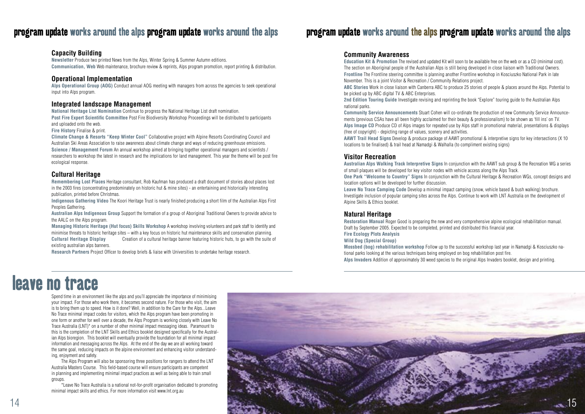### program update works around the alps program update works around the alps

### program update works around the alps program update works around the alps

### **Capacity Building**

**Newsletter** Produce two printed News from the Alps, Winter Spring & Summer Autumn editions. **Communication, Web** Web maintenance, brochure review & reprints, Alps program promotion, report printing & distribution.

### **Operational Implementation**

**Alps Operational Group (AOG)** Conduct annual AOG meeting with managers from across the agencies to seek operational input into Alps program.

### **Integrated landscape Management**

**National Heritage List Nomination** Continue to progress the National Heritage List draft nomination.

**Post Fire Expert Scientific Committee** Post Fire Biodiversity Workshop Proceedings will be distributed to participants and uploaded onto the web.

**Fire History** Finalise & print.

**Climate Change & Resorts "Keep Winter Cool"** Collaborative project with Alpine Resorts Coordinating Council and Australian Ski Areas Association to raise awareness about climate change and ways of reducing greenhouse emissions. **Science / Management Forum** An annual workshop aimed at bringing together operational managers and scientists / researchers to workshop the latest in research and the implications for land management. This year the theme will be post fire ecological response.

### **Cultural Heritage**

**Remembering Lost Places** Heritage consultant, Rob Kaufman has produced a draft document of stories about places lost in the 2003 fires (concentrating predominately on historic hut & mine sites) - an entertaining and historically interesting publication, printed before Christmas.

**Indigenous Gathering Video** The Koori Heritage Trust is nearly finished producing a short film of the Australian Alps First Peoples Gathering.

**Australian Alps Indigenous Group** Support the formation of a group of Aboriginal Traditional Owners to provide advice to the AALC on the Alps program.

**Managing Historic Heritage (Hut focus) Skills Workshop** A workshop involving volunteers and park staff to identify and minimise threats to historic heritage sites – with a key focus on historic hut maintenance skills and conservation planning. **Cultural Heritage Display** Creation of a cultural heritage banner featuring historic huts, to go with the suite of existing australian alps banners.

**Research Partners** Project Officer to develop briefs & liaise with Universities to undertake heritage research.

### **Community Awareness**

**Education Kit & Promotion** The revised and updated Kit will soon to be available free on the web or as a CD (minimal cost). The section on Aboriginal people of the Australian Alps is still being developed in close liaison with Traditional Owners. **Frontline** The Frontline steering committee is planning another Frontline workshop in Kosciuszko National Park in late November. This is a joint Visitor & Recreation / Community Relations project. **ABC Stories** Work in close liaison with Canberra ABC to produce 25 stories of people & places around the Alps. Potential to be picked up by ABC digital TV & ABC Enterprises. **2nd Edition Touring Guide** Investigate revising and reprinting the book "Explore" touring guide to the Australian Alps national parks.

**Community Service Announcements** Stuart Cohen will co-ordinate the production of new Community Service Announcements (previous CSAs have all been highly acclaimed for their beauty & professionalism) to be shown as 'fill ins' on TV. **Alps Image CD** Produce CD of Alps images for repeated use by Alps staff in promotional material, presentations & displays (free of copyright) - depicting range of values, scenery and activities. **AAWT Trail Head Signs** Develop & produce package of AAWT promotional & interpretive signs for key intersections (X 10 locations to be finalised) & trail head at Namadgi & Walhalla (to compliment existing signs)

### **Visitor Recreation**

**Australian Alps Walking Track Interpretive Signs** In conjunction with the AAWT sub group & the Recreation WG a series of small plaques will be developed for key visitor nodes with vehicle access along the Alps Track. **One Park "Welcome to Country" Signs** In conjunction with the Cultural Heritage & Recreation WGs, concept designs and location options will be developed for further discussion. **Leave No Trace Camping Code** Develop a minimal impact camping (snow, vehicle based & bush walking) brochure. Investigate inclusion of popular camping sites across the Alps. Continue to work with LNT Australia on the development of Alpine Skills & Ethics booklet.

### **Natural Heritage**

**Restoration Manual** Roger Good is preparing the new and very comprehensive alpine ecological rehabilitation manual. Draft by September 2005. Expected to be completed, printed and distributed this financial year. **Fire Ecology Plots Analysis Wild Dog (Special Group)**

**Mossbed (bog) rehabilitation workshop** Follow up to the successful workshop last year in Namadgi & Kosciuszko national parks looking at the various techniques being employed on bog rehabilitation post fire. **Alps Invaders** Addition of approximately 30 weed species to the original Alps Invaders booklet, design and printing.

Spend time in an environment like the alps and you'll appreciate the importance of minimising your impact. For those who work there, it becomes second nature. For those who visit, the aim is to bring them up to speed. How is it done? Well, in addition to the Care for the Alps...Leave No Trace minimal impact codes for visitors, which the Alps program have been promoting in one form or another for well over a decade, the Alps Program is working closely with Leave No Trace Australia (LNT)\* on a number of other minimal impact messaging ideas. Paramount to this is the completion of the LNT Skills and Ethics booklet designed specifically for the Australian Alps bioregion. This booklet will eventually provide the foundation for all minimal impact information and messaging across the Alps. At the end of the day we are all working toward the same goal, reducing impacts on the alpine environment and enhancing visitor understanding, enjoyment and safety.

 The Alps Program will also be sponsoring three positions for rangers to attend the LNT Australia Masters Course. This field-based course will ensure participants are competent in planning and implementing minimal impact practices as well as being able to train small groups.

 \*Leave No Trace Australia is a national not-for-profit organisation dedicated to promoting minimal impact skills and ethics. For more information visit www.lnt.org.au



### leave no trace